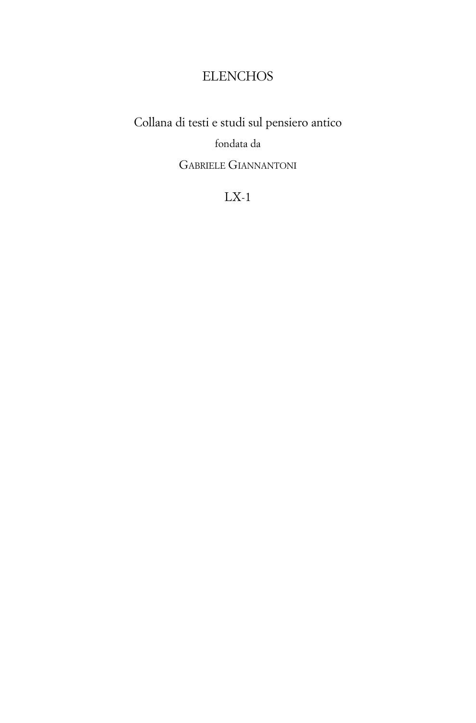# **ELENCHOS**

Collana di testi e studi sul pensiero antico fondata da GABRIELE GIANNANTONI

LX-1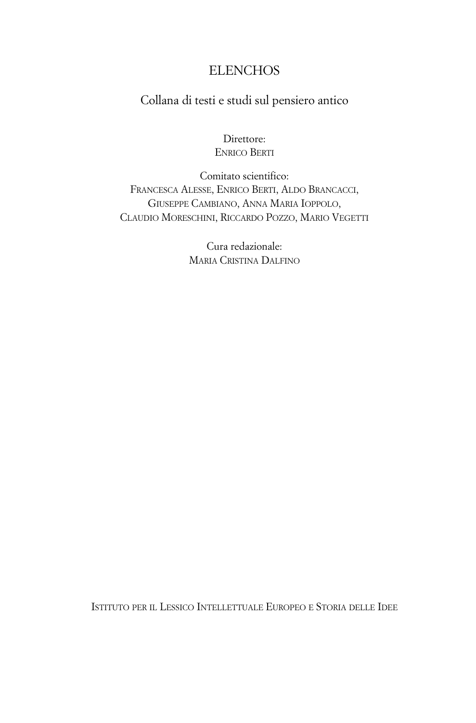# **ELENCHOS**

## Collana di testi e studi sul pensiero antico

#### Direttore: ENRICO BERTI

Comitato scientifico: FRANCESCA ALESSE, ENRICO BERTI, ALDO BRANCACCI, GIUSEPPE CAMBIANO, ANNA MARIA IOPPOLO, CLAUDIO MORESCHINI, RICCARDO POZZO, MARIO VEGETTI

> Cura redazionale: MARIA CRISTINA DALFINO

ISTITUTO PER IL LESSICO INTELLETTUALE EUROPEO E STORIA DELLE IDEE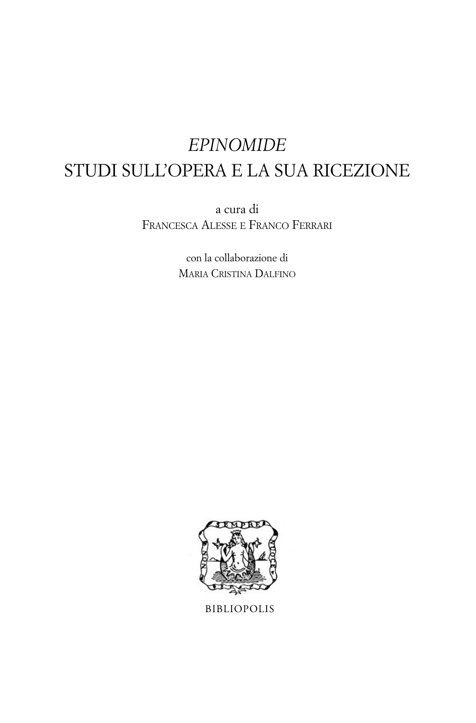# *EPINOMIDE* STUDI SULL'OPERA E LA SUA RICEZIONE

a cura di FRANCESCA ALESSE E FRANCO FERRARI

> con la collaborazione di MARIA CRISTINA DALFINO



BIBLIOPOLIS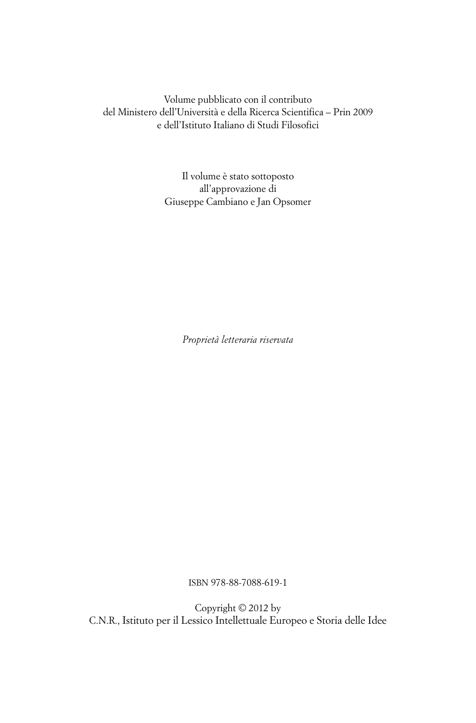Volume pubblicato con il contributo del Ministero dell'Università e della Ricerca Scientifica – Prin 2009 e dell'Istituto Italiano di Studi Filosofici

> Il volume è stato sottoposto all'approvazione di Giuseppe Cambiano e Jan Opsomer

> > *Proprietà letteraria riservata*

ISBN 978-88-7088-619-1

Copyright © 2012 by C.N.R., Istituto per il Lessico Intellettuale Europeo e Storia delle Idee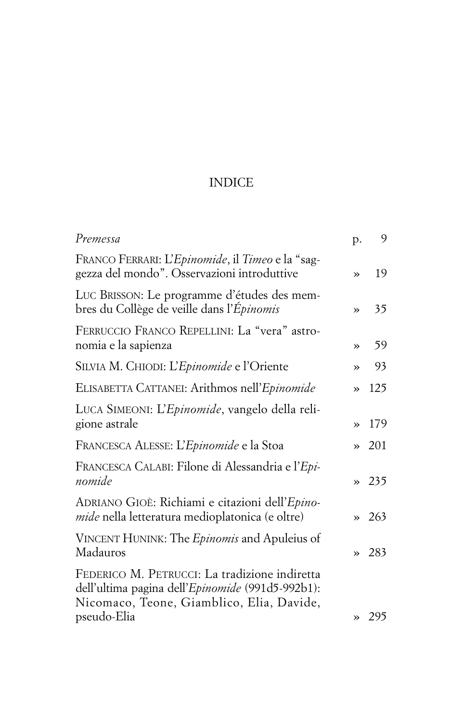# INDICE

| Premessa                                                                                                                                       | p.            | 9             |
|------------------------------------------------------------------------------------------------------------------------------------------------|---------------|---------------|
| FRANCO FERRARI: L'Epinomide, il Timeo e la "sag-<br>gezza del mondo". Osservazioni introduttive                                                | $\rightarrow$ | 19            |
| LUC BRISSON: Le programme d'études des mem-<br>bres du Collège de veille dans l'Épinomis                                                       | »             | 35            |
| FERRUCCIO FRANCO REPELLINI: La "vera" astro-<br>nomia e la sapienza                                                                            | $\rightarrow$ | 59            |
| SILVIA M. CHIODI: L'Epinomide e l'Oriente                                                                                                      | $\rightarrow$ | 93            |
| ELISABETTA CATTANEI: Arithmos nell'Epinomide                                                                                                   | »             | 125           |
| LUCA SIMEONI: L'Epinomide, vangelo della reli-<br>gione astrale                                                                                | »             | 179           |
| FRANCESCA ALESSE: L'Epinomide e la Stoa                                                                                                        |               | $\approx 201$ |
| FRANCESCA CALABI: Filone di Alessandria e l'Epi-<br>nomide                                                                                     |               | 235           |
| ADRIANO GIOÈ: Richiami e citazioni dell'Epino-<br><i>mide</i> nella letteratura medioplatonica (e oltre)                                       |               | 263           |
| VINCENT HUNINK: The Epinomis and Apuleius of<br>Madauros                                                                                       | $\rightarrow$ | -283          |
| FEDERICO M. PETRUCCI: La tradizione indiretta<br>dell'ultima pagina dell'Epinomide (991d5-992b1):<br>Nicomaco, Teone, Giamblico, Elia, Davide, |               |               |
| pseudo-Elia                                                                                                                                    |               | 295           |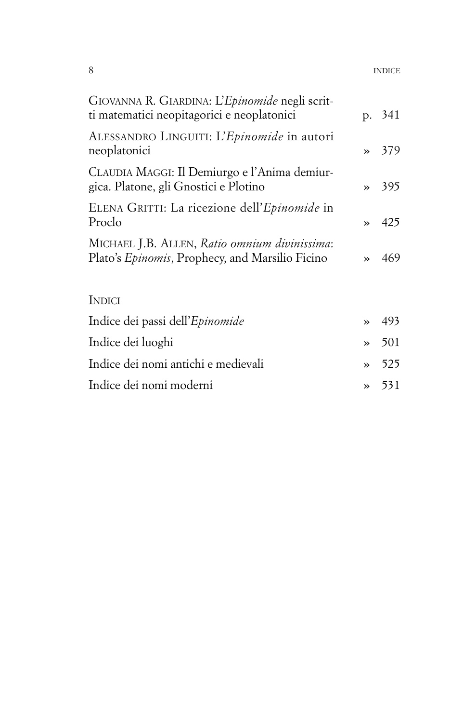| 8 | <b>INDICE</b> |
|---|---------------|
|   |               |

| GIOVANNA R. GIARDINA: L'Epinomide negli scrit-<br>ti matematici neopitagorici e neoplatonici     |               | p. 341 |
|--------------------------------------------------------------------------------------------------|---------------|--------|
| ALESSANDRO LINGUITI: L'Epinomide in autori<br>neoplatonici                                       | $\rightarrow$ | 379    |
| CLAUDIA MAGGI: Il Demiurgo e l'Anima demiur-<br>gica. Platone, gli Gnostici e Plotino            | $\rightarrow$ | 395    |
| ELENA GRITTI: La ricezione dell'Epinomide in<br>Proclo                                           | $\rightarrow$ | 425    |
| MICHAEL J.B. ALLEN, Ratio omnium divinissima:<br>Plato's Epinomis, Prophecy, and Marsilio Ficino | $\rightarrow$ | 469    |
| INDICI                                                                                           |               |        |
| Indice dei passi dell'Epinomide                                                                  | $\rightarrow$ | 493    |
| Indice dei luoghi                                                                                | $\rightarrow$ | 501    |
| Indice dei nomi antichi e medievali                                                              | $\rightarrow$ | 525    |
| Indice dei nomi moderni                                                                          | $\rightarrow$ | 531    |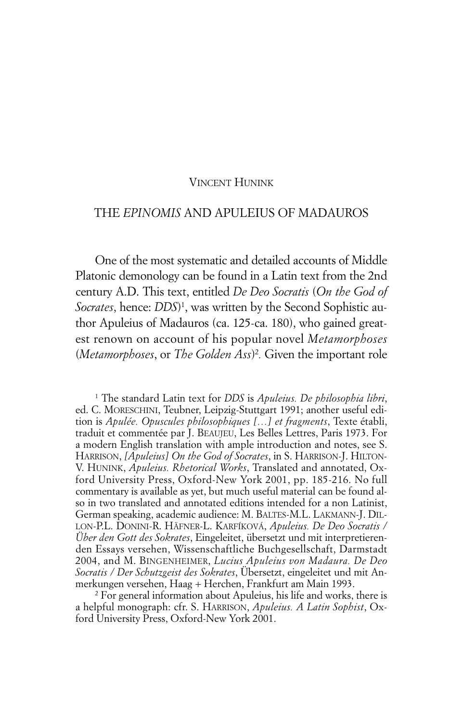#### VINCENT HUNINK

#### THE *EPINOMIS* AND APULEIUS OF MADAUROS

One of the most systematic and detailed accounts of Middle Platonic demonology can be found in a Latin text from the 2nd century A.D. This text, entitled *De Deo Socratis* (*On the God of Socrates*, hence: *DDS*) 1 , was written by the Second Sophistic author Apuleius of Madauros (ca. 125-ca. 180), who gained greatest renown on account of his popular novel *Metamorphoses* (*Metamorphoses*, or *The Golden Ass*) 2 *.* Given the important role

<sup>1</sup> The standard Latin text for *DDS* is *Apuleius. De philosophia libri*, ed. C. MORESCHINI, Teubner, Leipzig-Stuttgart 1991; another useful edition is *Apulée. Opuscules philosophiques […] et fragments*, Texte établi, traduit et commentée par J. BEAUJEU, Les Belles Lettres, Paris 1973. For a modern English translation with ample introduction and notes, see S. HARRISON, *[Apuleius] On the God of Socrates*, in S. HARRISON-J. HILTON-V. HUNINK, *Apuleius. Rhetorical Works*, Translated and annotated, Oxford University Press, Oxford-New York 2001, pp. 185-216. No full commentary is available as yet, but much useful material can be found also in two translated and annotated editions intended for a non Latinist, German speaking, academic audience: M. BALTES-M.L. LAKMANN-J. DIL-LON-P.L. DONINI-R. HÄFNER-L. KARFÍKOVÁ, *Apuleius. De Deo Socratis / Über den Gott des Sokrates*, Eingeleitet, übersetzt und mit interpretierenden Essays versehen, Wissenschaftliche Buchgesellschaft, Darmstadt 2004, and M. BINGENHEIMER, *Lucius Apuleius von Madaura. De Deo Socratis / Der Schutzgeist des Sokrates*, Übersetzt, eingeleitet und mit Anmerkungen versehen, Haag + Herchen, Frankfurt am Main 1993.

<sup>2</sup> For general information about Apuleius, his life and works, there is a helpful monograph: cfr. S. HARRISON, *Apuleius. A Latin Sophist*, Oxford University Press, Oxford-New York 2001.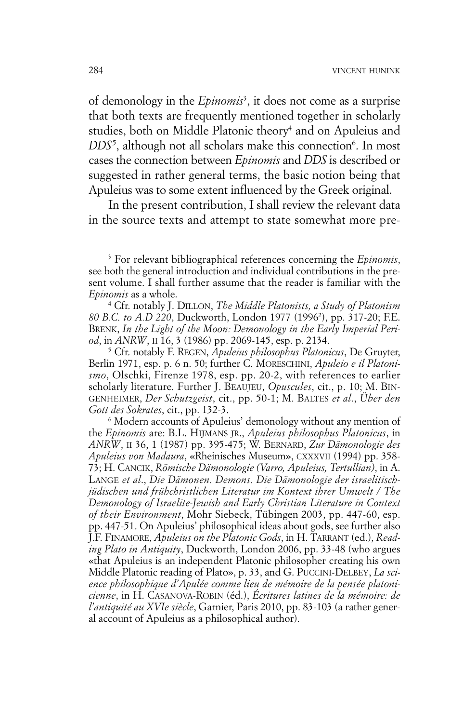of demonology in the *Epinomis*<sup>3</sup> , it does not come as a surprise that both texts are frequently mentioned together in scholarly studies, both on Middle Platonic theory<sup>4</sup> and on Apuleius and DDS<sup>5</sup>, although not all scholars make this connection<sup>6</sup>. In most cases the connection between *Epinomis* and *DDS* is described or suggested in rather general terms, the basic notion being that Apuleius was to some extent influenced by the Greek original.

In the present contribution, I shall review the relevant data in the source texts and attempt to state somewhat more pre-

<sup>3</sup> For relevant bibliographical references concerning the *Epinomis*, see both the general introduction and individual contributions in the present volume. I shall further assume that the reader is familiar with the *Epinomis* as a whole.

<sup>4</sup> Cfr. notably J. DILLON, *The Middle Platonists, a Study of Platonism 80 B.C. to A.D 220*, Duckworth, London 1977 (19962 ), pp. 317-20; F.E. BRENK, *In the Light of the Moon: Demonology in the Early Imperial Period*, in *ANRW*, II 16, 3 (1986) pp. 2069-145, esp. p. 2134.

<sup>5</sup> Cfr. notably F. REGEN, *Apuleius philosophus Platonicus*, De Gruyter, Berlin 1971, esp. p. 6 n. 50; further C. MORESCHINI, *Apuleio e il Platonismo*, Olschki, Firenze 1978, esp. pp. 20-2, with references to earlier scholarly literature. Further J. BEAUJEU, *Opuscules*, cit., p. 10; M. BIN-GENHEIMER, *Der Schutzgeist*, cit., pp. 50-1; M. BALTES *et al*., *Über den Gott des Sokrates*, cit., pp. 132-3.

<sup>6</sup> Modern accounts of Apuleius' demonology without any mention of the *Epinomis* are: B.L. HIJMANS JR., *Apuleius philosophus Platonicus*, in *ANRW*, II 36, 1 (1987) pp. 395-475; W. BERNARD, *Zur Dämonologie des Apuleius von Madaura*, «Rheinisches Museum», CXXXVII (1994) pp. 358- 73; H. CANCIK, *Römische Dämonologie (Varro, Apuleius, Tertullian)*, in A. LANGE *et al*., *Die Dämonen. Demons. Die Dämonologie der israelitischjüdischen und frühchristlichen Literatur im Kontext ihrer Umwelt / The Demonology of Israelite-Jewish and Early Christian Literature in Context of their Environment*, Mohr Siebeck, Tübingen 2003, pp. 447-60, esp. pp. 447-51. On Apuleius' philosophical ideas about gods, see further also J.F. FINAMORE, *Apuleius on the Platonic Gods*, in H. TARRANT (ed.), *Reading Plato in Antiquity*, Duckworth, London 2006, pp. 33-48 (who argues «that Apuleius is an independent Platonic philosopher creating his own Middle Platonic reading of Plato», p. 33, and G. PUCCINI-DELBEY, *La science philosophique d'Apulée comme lieu de mémoire de la pensée platonicienne*, in H. CASANOVA-ROBIN (éd.), *Écritures latines de la mémoire: de l'antiquité au XVIe siècle*, Garnier, Paris 2010, pp. 83-103 (a rather general account of Apuleius as a philosophical author).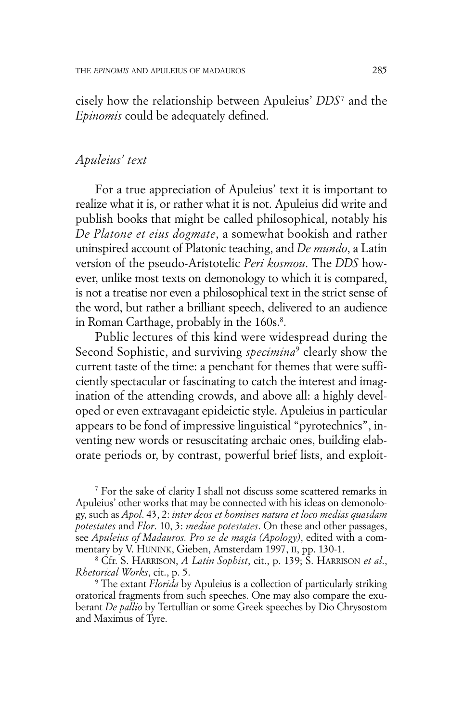cisely how the relationship between Apuleius' *DDS*<sup>7</sup> and the *Epinomis* could be adequately defined.

## *Apuleius' text*

For a true appreciation of Apuleius' text it is important to realize what it is, or rather what it is not. Apuleius did write and publish books that might be called philosophical, notably his *De Platone et eius dogmate*, a somewhat bookish and rather uninspired account of Platonic teaching, and *De mundo*, a Latin version of the pseudo-Aristotelic *Peri kosmou*. The *DDS* however, unlike most texts on demonology to which it is compared, is not a treatise nor even a philosophical text in the strict sense of the word, but rather a brilliant speech, delivered to an audience in Roman Carthage, probably in the 160s. 8 .

Public lectures of this kind were widespread during the Second Sophistic, and surviving *specimina*<sup>9</sup> clearly show the current taste of the time: a penchant for themes that were sufficiently spectacular or fascinating to catch the interest and imagination of the attending crowds, and above all: a highly developed or even extravagant epideictic style. Apuleius in particular appears to be fond of impressive linguistical "pyrotechnics", inventing new words or resuscitating archaic ones, building elaborate periods or, by contrast, powerful brief lists, and exploit-

<sup>7</sup> For the sake of clarity I shall not discuss some scattered remarks in Apuleius' other works that may be connected with his ideas on demonology, such as *Apol*. 43, 2: *inter deos et homines natura et loco medias quasdam potestates* and *Flor*. 10, 3: *mediae potestates*. On these and other passages, see *Apuleius of Madauros. Pro se de magia (Apology)*, edited with a commentary by V. HUNINK, Gieben, Amsterdam 1997, II, pp. 130-1.

<sup>8</sup> Cfr. S. HARRISON, *A Latin Sophist*, cit., p. 139; S. HARRISON *et al*., *Rhetorical Works*, cit., p. 5.

<sup>9</sup> The extant *Florida* by Apuleius is a collection of particularly striking oratorical fragments from such speeches. One may also compare the exuberant *De pallio* by Tertullian or some Greek speeches by Dio Chrysostom and Maximus of Tyre.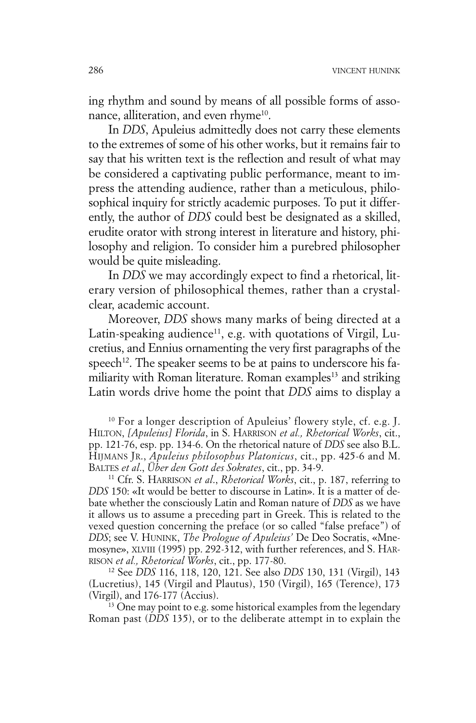ing rhythm and sound by means of all possible forms of assonance, alliteration, and even rhyme<sup>10</sup>.

In *DDS*, Apuleius admittedly does not carry these elements to the extremes of some of his other works, but it remains fair to say that his written text is the reflection and result of what may be considered a captivating public performance, meant to impress the attending audience, rather than a meticulous, philosophical inquiry for strictly academic purposes. To put it differently, the author of *DDS* could best be designated as a skilled, erudite orator with strong interest in literature and history, philosophy and religion. To consider him a purebred philosopher would be quite misleading.

In *DDS* we may accordingly expect to find a rhetorical, literary version of philosophical themes, rather than a crystalclear, academic account.

Moreover, *DDS* shows many marks of being directed at a Latin-speaking audience<sup>11</sup>, e.g. with quotations of Virgil, Lucretius, and Ennius ornamenting the very first paragraphs of the speech<sup>12</sup>. The speaker seems to be at pains to underscore his familiarity with Roman literature. Roman examples<sup>13</sup> and striking Latin words drive home the point that *DDS* aims to display a

<sup>10</sup> For a longer description of Apuleius' flowery style, cf. e.g. J. HILTON, *[Apuleius] Florida*, in S. HARRISON *et al., Rhetorical Works*, cit., pp. 121-76, esp. pp. 134-6. On the rhetorical nature of *DDS* see also B.L. HIJMANS JR., *Apuleius philosophus Platonicus*, cit., pp. 425-6 and M. BALTES *et al*., *Über den Gott des Sokrates*, cit., pp. 34-9.

<sup>11</sup> Cfr. S. HARRISON *et al*., *Rhetorical Works*, cit., p. 187, referring to *DDS* 150: «It would be better to discourse in Latin». It is a matter of debate whether the consciously Latin and Roman nature of *DDS* as we have it allows us to assume a preceding part in Greek. This is related to the vexed question concerning the preface (or so called "false preface") of *DDS*; see V. HUNINK, *The Prologue of Apuleius'* De Deo Socratis, «Mnemosyne», XLVIII (1995) pp. 292-312, with further references, and S. HAR-RISON *et al., Rhetorical Works*, cit., pp. 177-80.

<sup>12</sup> See *DDS* 116, 118, 120, 121. See also *DDS* 130, 131 (Virgil), 143 (Lucretius), 145 (Virgil and Plautus), 150 (Virgil), 165 (Terence), 173 (Virgil), and 176-177 (Accius).

<sup>13</sup> One may point to e.g. some historical examples from the legendary Roman past (*DDS* 135), or to the deliberate attempt in to explain the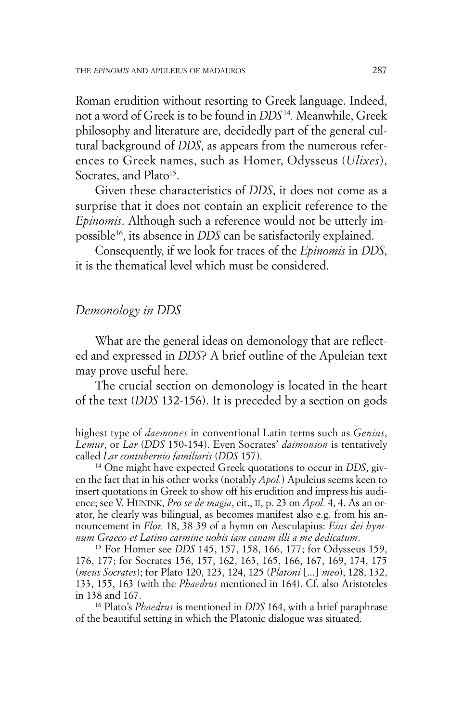Roman erudition without resorting to Greek language. Indeed, not a word of Greek is to be found in *DDS* <sup>14</sup> *.* Meanwhile, Greek philosophy and literature are, decidedly part of the general cultural background of *DDS*, as appears from the numerous references to Greek names, such as Homer, Odysseus (*Ulixes*), Socrates, and Plato<sup>15</sup>.

Given these characteristics of *DDS*, it does not come as a surprise that it does not contain an explicit reference to the *Epinomis*. Although such a reference would not be utterly impossible16 , its absence in *DDS* can be satisfactorily explained.

Consequently, if we look for traces of the *Epinomis* in *DDS*, it is the thematical level which must be considered.

## *Demonology in DDS*

What are the general ideas on demonology that are reflected and expressed in *DDS*? A brief outline of the Apuleian text may prove useful here.

The crucial section on demonology is located in the heart of the text (*DDS* 132-156). It is preceded by a section on gods

highest type of *daemones* in conventional Latin terms such as *Genius*, *Lemur*, or *Lar* (*DDS* 150-154). Even Socrates' *daimonion* is tentatively called *Lar contubernio familiaris* (*DDS* 157).

<sup>14</sup> One might have expected Greek quotations to occur in *DDS*, given the fact that in his other works (notably *Apol.*) Apuleius seems keen to insert quotations in Greek to show off his erudition and impress his audience; see V. HUNINK, *Pro se de magia*, cit., II, p. 23 on *Apol.* 4, 4. As an orator, he clearly was bilingual, as becomes manifest also e.g. from his announcement in *Flor.* 18, 38-39 of a hymn on Aesculapius: *Eius dei hymnum Graeco et Latino carmine uobis iam canam illi a me dedicatum*.

<sup>15</sup> For Homer see *DDS* 145, 157, 158, 166, 177; for Odysseus 159, 176, 177; for Socrates 156, 157, 162, 163, 165, 166, 167, 169, 174, 175 (*meus Socrates*); for Plato 120, 123, 124, 125 (*Platoni* [...] *meo*), 128, 132, 133, 155, 163 (with the *Phaedrus* mentioned in 164). Cf. also Aristoteles in 138 and 167.

<sup>16</sup> Plato's *Phaedrus* is mentioned in *DDS* 164, with a brief paraphrase of the beautiful setting in which the Platonic dialogue was situated.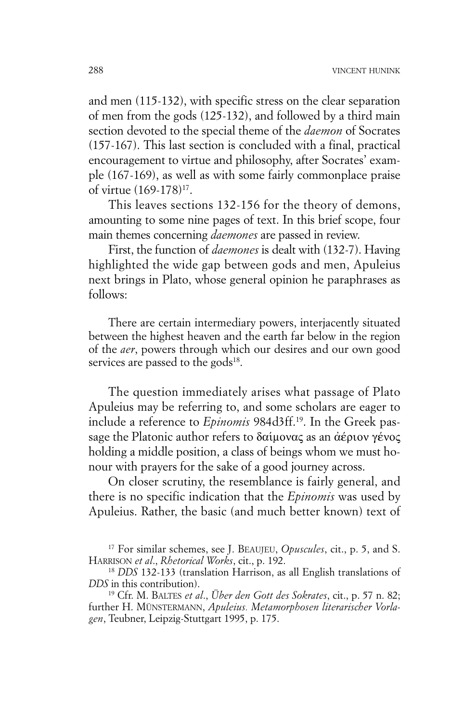and men (115-132), with specific stress on the clear separation of men from the gods (125-132), and followed by a third main section devoted to the special theme of the *daemon* of Socrates (157-167). This last section is concluded with a final, practical encouragement to virtue and philosophy, after Socrates' example (167-169), as well as with some fairly commonplace praise of virtue (169-178)<sup>17</sup>.

This leaves sections 132-156 for the theory of demons, amounting to some nine pages of text. In this brief scope, four main themes concerning *daemones* are passed in review.

First, the function of *daemones* is dealt with (132-7). Having highlighted the wide gap between gods and men, Apuleius next brings in Plato, whose general opinion he paraphrases as follows:

There are certain intermediary powers, interjacently situated between the highest heaven and the earth far below in the region of the *aer*, powers through which our desires and our own good services are passed to the gods<sup>18</sup>.

The question immediately arises what passage of Plato Apuleius may be referring to, and some scholars are eager to include a reference to *Epinomis* 984d3ff. 19 . In the Greek passage the Platonic author refers to  $\delta\alpha$ ίμονας as an άέριον γένος holding a middle position, a class of beings whom we must honour with prayers for the sake of a good journey across.

On closer scrutiny, the resemblance is fairly general, and there is no specific indication that the *Epinomis* was used by Apuleius. Rather, the basic (and much better known) text of

<sup>17</sup> For similar schemes, see J. BEAUJEU, *Opuscules*, cit., p. 5, and S. HARRISON *et al*., *Rhetorical Works*, cit., p. 192.

<sup>&</sup>lt;sup>18</sup> *DDS* 132-133 (translation Harrison, as all English translations of *DDS* in this contribution).

<sup>19</sup> Cfr. M. BALTES *et al*., *Über den Gott des Sokrates*, cit., p. 57 n. 82; further H. MÜNSTERMANN, *Apuleius. Metamorphosen literarischer Vorlagen*, Teubner, Leipzig-Stuttgart 1995, p. 175.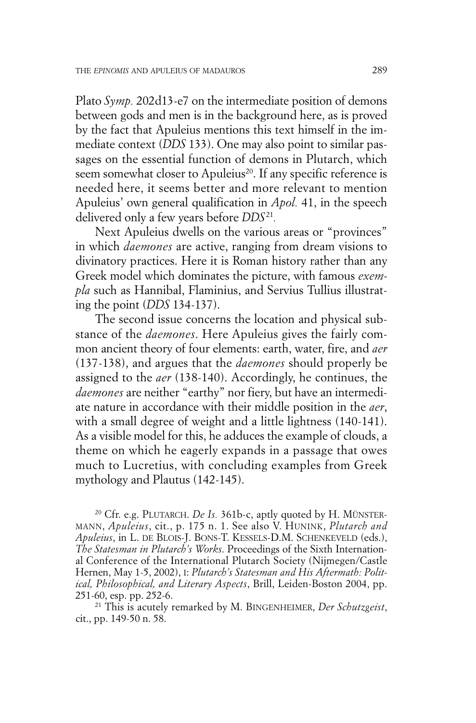Plato *Symp.* 202d13-e7 on the intermediate position of demons between gods and men is in the background here, as is proved by the fact that Apuleius mentions this text himself in the immediate context (*DDS* 133). One may also point to similar passages on the essential function of demons in Plutarch, which seem somewhat closer to Apuleius<sup>20</sup>. If any specific reference is needed here, it seems better and more relevant to mention Apuleius' own general qualification in *Apol.* 41, in the speech delivered only a few years before *DDS* <sup>21</sup> *.*

Next Apuleius dwells on the various areas or "provinces" in which *daemones* are active, ranging from dream visions to divinatory practices. Here it is Roman history rather than any Greek model which dominates the picture, with famous *exempla* such as Hannibal, Flaminius, and Servius Tullius illustrating the point (*DDS* 134-137).

The second issue concerns the location and physical substance of the *daemones*. Here Apuleius gives the fairly common ancient theory of four elements: earth, water, fire, and *aer* (137-138), and argues that the *daemones* should properly be assigned to the *aer* (138-140). Accordingly, he continues, the *daemones* are neither "earthy" nor fiery, but have an intermediate nature in accordance with their middle position in the *aer*, with a small degree of weight and a little lightness (140-141). As a visible model for this, he adduces the example of clouds, a theme on which he eagerly expands in a passage that owes much to Lucretius, with concluding examples from Greek mythology and Plautus (142-145).

<sup>20</sup> Cfr. e.g. PLUTARCH. *De Is.* 361b-c, aptly quoted by H. MÜNSTER-MANN, *Apuleius*, cit., p. 175 n. 1. See also V. HUNINK, *Plutarch and Apuleius*, in L. DE BLOIS-J. BONS-T. KESSELS-D.M. SCHENKEVELD (eds.), *The Statesman in Plutarch's Works*. Proceedings of the Sixth International Conference of the International Plutarch Society (Nijmegen/Castle Hernen, May 1-5, 2002), I: *Plutarch's Statesman and His Aftermath: Political, Philosophical, and Literary Aspects*, Brill, Leiden-Boston 2004, pp. 251-60, esp. pp. 252-6.

<sup>21</sup> This is acutely remarked by M. BINGENHEIMER, *Der Schutzgeist*, cit., pp. 149-50 n. 58.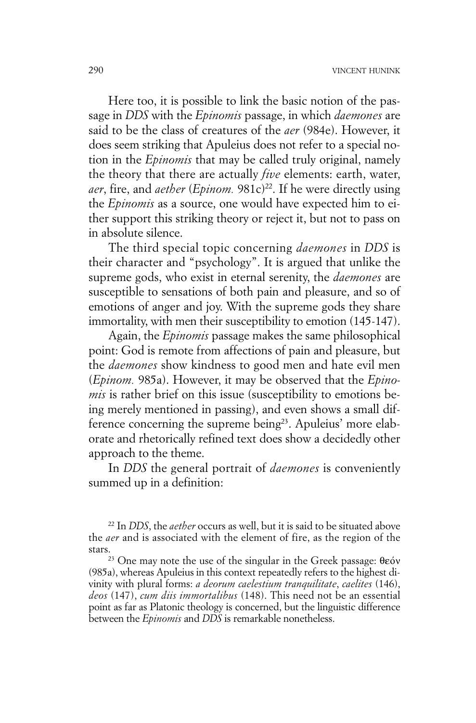Here too, it is possible to link the basic notion of the passage in *DDS* with the *Epinomis* passage, in which *daemones* are said to be the class of creatures of the *aer* (984e). However, it does seem striking that Apuleius does not refer to a special notion in the *Epinomis* that may be called truly original, namely the theory that there are actually *five* elements: earth, water, aer, fire, and *aether* (*Epinom*. 981c)<sup>22</sup>. If he were directly using the *Epinomis* as a source, one would have expected him to either support this striking theory or reject it, but not to pass on in absolute silence.

The third special topic concerning *daemones* in *DDS* is their character and "psychology". It is argued that unlike the supreme gods, who exist in eternal serenity, the *daemones* are susceptible to sensations of both pain and pleasure, and so of emotions of anger and joy. With the supreme gods they share immortality, with men their susceptibility to emotion (145-147).

Again, the *Epinomis* passage makes the same philosophical point: God is remote from affections of pain and pleasure, but the *daemones* show kindness to good men and hate evil men (*Epinom.* 985a). However, it may be observed that the *Epinomis* is rather brief on this issue (susceptibility to emotions being merely mentioned in passing), and even shows a small difference concerning the supreme being<sup>23</sup>. Apuleius' more elaborate and rhetorically refined text does show a decidedly other approach to the theme.

In *DDS* the general portrait of *daemones* is conveniently summed up in a definition:

<sup>22</sup> In *DDS*, the *aether* occurs as well, but it is said to be situated above the *aer* and is associated with the element of fire, as the region of the stars.

<sup>23</sup> One may note the use of the singular in the Greek passage:  $\theta \epsilon \acute{o}v$ (985a), whereas Apuleius in this context repeatedly refers to the highest divinity with plural forms: *a deorum caelestium tranquilitate*, *caelites* (146), *deos* (147), *cum diis immortalibus* (148). This need not be an essential point as far as Platonic theology is concerned, but the linguistic difference between the *Epinomis* and *DDS* is remarkable nonetheless.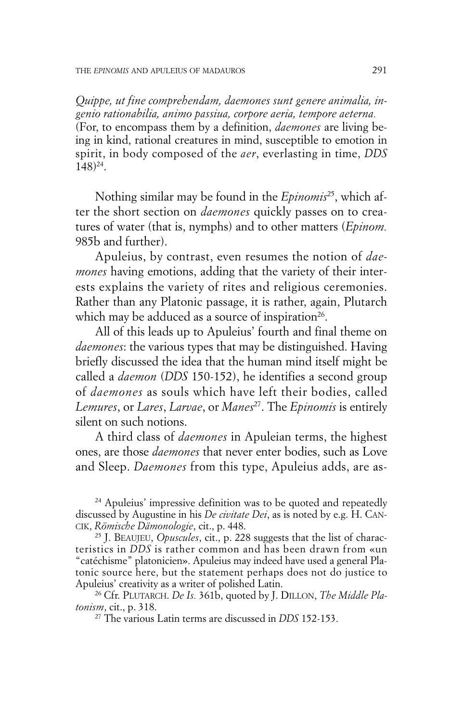*Quippe, ut fine comprehendam, daemones sunt genere animalia, ingenio rationabilia, animo passiua, corpore aeria, tempore aeterna.* (For, to encompass them by a definition, *daemones* are living being in kind, rational creatures in mind, susceptible to emotion in spirit, in body composed of the *aer*, everlasting in time, *DDS* 148)24 .

Nothing similar may be found in the *Epinomis*<sup>25</sup> , which after the short section on *daemones* quickly passes on to creatures of water (that is, nymphs) and to other matters (*Epinom.* 985b and further).

Apuleius, by contrast, even resumes the notion of *daemones* having emotions, adding that the variety of their interests explains the variety of rites and religious ceremonies. Rather than any Platonic passage, it is rather, again, Plutarch which may be adduced as a source of inspiration<sup>26</sup>.

All of this leads up to Apuleius' fourth and final theme on *daemones*: the various types that may be distinguished. Having briefly discussed the idea that the human mind itself might be called a *daemon* (*DDS* 150-152), he identifies a second group of *daemones* as souls which have left their bodies, called *Lemures*, or *Lares*, *Larvae*, or *Manes*<sup>27</sup> . The *Epinomis* is entirely silent on such notions.

A third class of *daemones* in Apuleian terms, the highest ones, are those *daemones* that never enter bodies, such as Love and Sleep. *Daemones* from this type, Apuleius adds, are as-

<sup>24</sup> Apuleius' impressive definition was to be quoted and repeatedly discussed by Augustine in his *De civitate Dei*, as is noted by e.g. H. CAN-CIK, *Römische Dämonologie*, cit., p. 448.

<sup>25</sup> J. BEAUJEU, *Opuscules*, cit., p. 228 suggests that the list of characteristics in *DDS* is rather common and has been drawn from «un "catéchisme" platonicien». Apuleius may indeed have used a general Platonic source here, but the statement perhaps does not do justice to Apuleius' creativity as a writer of polished Latin.

<sup>26</sup> Cfr. PLUTARCH. *De Is.* 361b, quoted by J. DILLON, *The Middle Platonism*, cit., p. 318.

<sup>27</sup> The various Latin terms are discussed in *DDS* 152-153.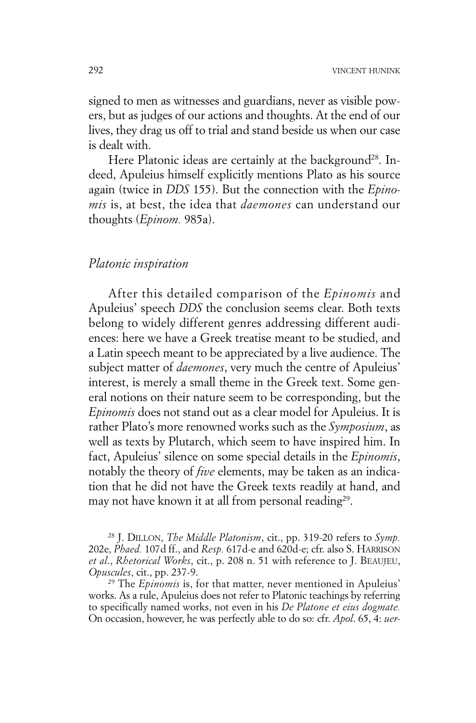signed to men as witnesses and guardians, never as visible powers, but as judges of our actions and thoughts. At the end of our lives, they drag us off to trial and stand beside us when our case is dealt with.

Here Platonic ideas are certainly at the background<sup>28</sup>. Indeed, Apuleius himself explicitly mentions Plato as his source again (twice in *DDS* 155). But the connection with the *Epinomis* is, at best, the idea that *daemones* can understand our thoughts (*Epinom.* 985a).

#### *Platonic inspiration*

After this detailed comparison of the *Epinomis* and Apuleius' speech *DDS* the conclusion seems clear. Both texts belong to widely different genres addressing different audiences: here we have a Greek treatise meant to be studied, and a Latin speech meant to be appreciated by a live audience. The subject matter of *daemones*, very much the centre of Apuleius' interest, is merely a small theme in the Greek text. Some general notions on their nature seem to be corresponding, but the *Epinomis* does not stand out as a clear model for Apuleius. It is rather Plato's more renowned works such as the *Symposium*, as well as texts by Plutarch, which seem to have inspired him. In fact, Apuleius' silence on some special details in the *Epinomis*, notably the theory of *five* elements, may be taken as an indication that he did not have the Greek texts readily at hand, and may not have known it at all from personal reading<sup>29</sup>.

<sup>28</sup> J. DILLON, *The Middle Platonism*, cit., pp. 319-20 refers to *Symp.* 202e, *Phaed.* 107d ff., and *Resp.* 617d-e and 620d-e; cfr. also S. HARRISON *et al*., *Rhetorical Works*, cit., p. 208 n. 51 with reference to J. BEAUJEU, *Opuscules*, cit., pp. 237-9.

<sup>29</sup> The *Epinomis* is, for that matter, never mentioned in Apuleius' works. As a rule, Apuleius does not refer to Platonic teachings by referring to specifically named works, not even in his *De Platone et eius dogmate.* On occasion, however, he was perfectly able to do so: cfr. *Apol*. 65, 4: *uer-*